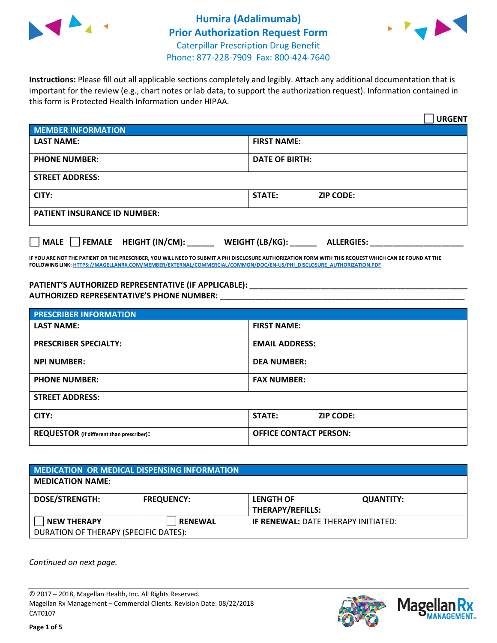



**Instructions:** Please fill out all applicable sections completely and legibly. Attach any additional documentation that is important for the review (e.g., chart notes or lab data, to support the authorization request). Information contained in this form is Protected Health Information under HIPAA.

|                                       | <b>URGENT</b>                        |
|---------------------------------------|--------------------------------------|
| <b>MEMBER INFORMATION</b>             |                                      |
| <b>LAST NAME:</b>                     | <b>FIRST NAME:</b>                   |
| <b>PHONE NUMBER:</b>                  | <b>DATE OF BIRTH:</b>                |
| <b>STREET ADDRESS:</b>                |                                      |
| CITY:                                 | <b>STATE:</b><br><b>ZIP CODE:</b>    |
| <b>PATIENT INSURANCE ID NUMBER:</b>   |                                      |
| FEMALE HEIGHT (IN/CM):<br><b>MALE</b> | WEIGHT (LB/KG):<br><b>ALLERGIES:</b> |

**IF YOU ARE NOT THE PATIENT OR THE PRESCRIBER, YOU WILL NEED TO SUBMIT A PHI DISCLOSURE AUTHORIZATION FORM WITH THIS REQUEST WHICH CAN BE FOUND AT THE FOLLOWING LINK[: HTTPS://MAGELLANRX.COM/MEMBER/EXTERNAL/COMMERCIAL/COMMON/DOC/EN-US/PHI\\_DISCLOSURE\\_AUTHORIZATION.PDF](https://magellanrx.com/member/external/commercial/common/doc/en-us/PHI_Disclosure_Authorization.pdf)**

**PATIENT'S AUTHORIZED REPRESENTATIVE (IF APPLICABLE): \_\_\_\_\_\_\_\_\_\_\_\_\_\_\_\_\_\_\_\_\_\_\_\_\_\_\_\_\_\_\_\_\_\_\_\_\_\_\_\_\_\_\_\_\_\_\_\_\_ AUTHORIZED REPRESENTATIVE'S PHONE NUMBER:** \_\_\_\_\_\_\_\_\_\_\_\_\_\_\_\_\_\_\_\_\_\_\_\_\_\_\_\_\_\_\_\_\_\_\_\_\_\_\_\_\_\_\_\_\_\_\_\_\_\_\_\_\_\_\_

| <b>PRESCRIBER INFORMATION</b>             |                               |
|-------------------------------------------|-------------------------------|
| <b>LAST NAME:</b>                         | <b>FIRST NAME:</b>            |
| <b>PRESCRIBER SPECIALTY:</b>              | <b>EMAIL ADDRESS:</b>         |
| <b>NPI NUMBER:</b>                        | <b>DEA NUMBER:</b>            |
| <b>PHONE NUMBER:</b>                      | <b>FAX NUMBER:</b>            |
| <b>STREET ADDRESS:</b>                    |                               |
| CITY:                                     | STATE:<br><b>ZIP CODE:</b>    |
| REQUESTOR (if different than prescriber): | <b>OFFICE CONTACT PERSON:</b> |

| <b>MEDICATION OR MEDICAL DISPENSING INFORMATION</b> |                   |                                            |                  |  |  |
|-----------------------------------------------------|-------------------|--------------------------------------------|------------------|--|--|
| <b>MEDICATION NAME:</b>                             |                   |                                            |                  |  |  |
| <b>DOSE/STRENGTH:</b>                               | <b>FREQUENCY:</b> | <b>LENGTH OF</b>                           | <b>QUANTITY:</b> |  |  |
|                                                     |                   | <b>THERAPY/REFILLS:</b>                    |                  |  |  |
| <b>NEW THERAPY</b>                                  | <b>RENEWAL</b>    | <b>IF RENEWAL: DATE THERAPY INITIATED:</b> |                  |  |  |
| DURATION OF THERAPY (SPECIFIC DATES):               |                   |                                            |                  |  |  |

*Continued on next page.*

© 2017 – 2018, Magellan Health, Inc. All Rights Reserved. Magellan Rx Management – Commercial Clients. Revision Date: 08/22/2018 CAT0107



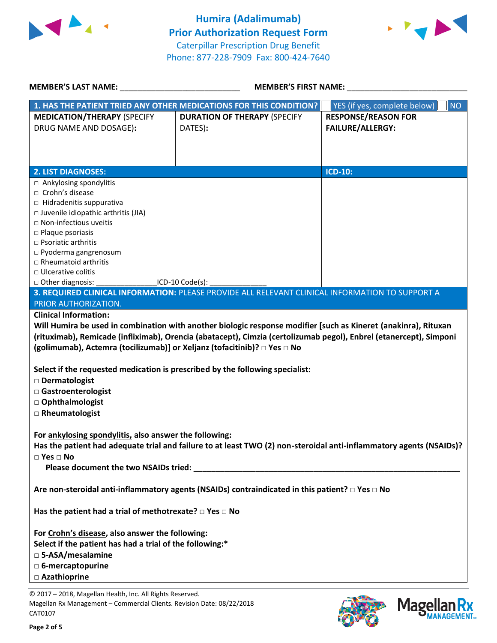



| <b>MEMBER'S LAST NAME:</b>                                                                                                                                                                                                                                                                         | <b>MEMBER'S FIRST NAME:</b>                                                                                                                                                                                                           |                                                       |  |  |
|----------------------------------------------------------------------------------------------------------------------------------------------------------------------------------------------------------------------------------------------------------------------------------------------------|---------------------------------------------------------------------------------------------------------------------------------------------------------------------------------------------------------------------------------------|-------------------------------------------------------|--|--|
|                                                                                                                                                                                                                                                                                                    | 1. HAS THE PATIENT TRIED ANY OTHER MEDICATIONS FOR THIS CONDITION?                                                                                                                                                                    | <b>NO</b><br>YES (if yes, complete below)             |  |  |
| <b>MEDICATION/THERAPY (SPECIFY</b><br>DRUG NAME AND DOSAGE):                                                                                                                                                                                                                                       | <b>DURATION OF THERAPY (SPECIFY</b><br>DATES):                                                                                                                                                                                        | <b>RESPONSE/REASON FOR</b><br><b>FAILURE/ALLERGY:</b> |  |  |
| <b>2. LIST DIAGNOSES:</b>                                                                                                                                                                                                                                                                          |                                                                                                                                                                                                                                       | <b>ICD-10:</b>                                        |  |  |
| □ Ankylosing spondylitis<br>$\Box$ Crohn's disease<br>□ Hidradenitis suppurativa<br>□ Juvenile idiopathic arthritis (JIA)<br>□ Non-infectious uveitis<br>$\square$ Plaque psoriasis<br>$\Box$ Psoriatic arthritis<br>p Pyoderma gangrenosum<br>$\Box$ Rheumatoid arthritis<br>□ Ulcerative colitis |                                                                                                                                                                                                                                       |                                                       |  |  |
| $\Box$ Other diagnosis:                                                                                                                                                                                                                                                                            | ICD-10 Code(s):                                                                                                                                                                                                                       |                                                       |  |  |
| PRIOR AUTHORIZATION.                                                                                                                                                                                                                                                                               | 3. REQUIRED CLINICAL INFORMATION: PLEASE PROVIDE ALL RELEVANT CLINICAL INFORMATION TO SUPPORT A                                                                                                                                       |                                                       |  |  |
| <b>Clinical Information:</b>                                                                                                                                                                                                                                                                       |                                                                                                                                                                                                                                       |                                                       |  |  |
| (golimumab), Actemra (tocilizumab)] or Xeljanz (tofacitinib)? □ Yes □ No<br>Select if the requested medication is prescribed by the following specialist:<br>□ Dermatologist<br>□ Gastroenterologist<br>□ Ophthalmologist<br>□ Rheumatologist                                                      | Will Humira be used in combination with another biologic response modifier [such as Kineret (anakinra), Rituxan<br>(rituximab), Remicade (infliximab), Orencia (abatacept), Cimzia (certolizumab pegol), Enbrel (etanercept), Simponi |                                                       |  |  |
| For ankylosing spondylitis, also answer the following:<br>Has the patient had adequate trial and failure to at least TWO (2) non-steroidal anti-inflammatory agents (NSAIDs)?<br>$\Box$ Yes $\Box$ No                                                                                              |                                                                                                                                                                                                                                       |                                                       |  |  |
|                                                                                                                                                                                                                                                                                                    | Are non-steroidal anti-inflammatory agents (NSAIDs) contraindicated in this patient? □ Yes □ No                                                                                                                                       |                                                       |  |  |
| Has the patient had a trial of methotrexate? $\square$ Yes $\square$ No<br>For Crohn's disease, also answer the following:<br>Select if the patient has had a trial of the following:*<br>□ 5-ASA/mesalamine                                                                                       |                                                                                                                                                                                                                                       |                                                       |  |  |
| □ 6-mercaptopurine                                                                                                                                                                                                                                                                                 |                                                                                                                                                                                                                                       |                                                       |  |  |
| □ Azathioprine                                                                                                                                                                                                                                                                                     |                                                                                                                                                                                                                                       |                                                       |  |  |
| © 2017 - 2018, Magellan Health, Inc. All Rights Reserved                                                                                                                                                                                                                                           |                                                                                                                                                                                                                                       |                                                       |  |  |

.8, Magellan Health, Inc. All Rights Magellan Rx Management – Commercial Clients. Revision Date: 08/22/2018 CAT0107



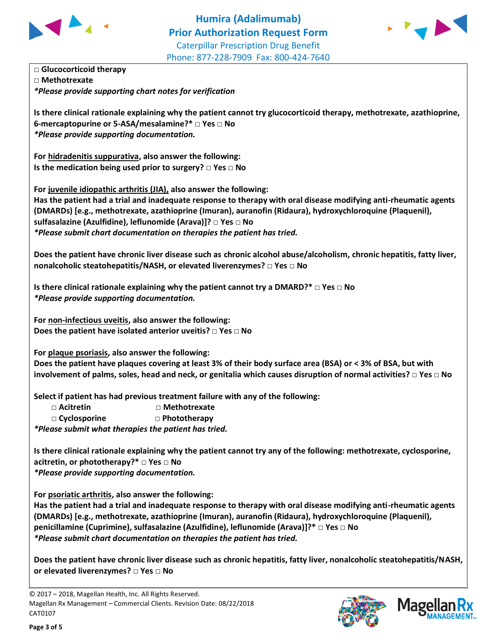



**□ Glucocorticoid therapy □ Methotrexate** *\*Please provide supporting chart notes for verification*

**Is there clinical rationale explaining why the patient cannot try glucocorticoid therapy, methotrexate, azathioprine, 6-mercaptopurine or 5-ASA/mesalamine?\* □ Yes □ No** *\*Please provide supporting documentation.*

**For hidradenitis suppurativa, also answer the following: Is the medication being used prior to surgery? □ Yes □ No**

**For juvenile idiopathic arthritis (JIA), also answer the following: Has the patient had a trial and inadequate response to therapy with oral disease modifying anti-rheumatic agents (DMARDs) [e.g., methotrexate, azathioprine (Imuran), auranofin (Ridaura), hydroxychloroquine (Plaquenil), sulfasalazine (Azulfidine), leflunomide (Arava)]? □ Yes □ No** *\*Please submit chart documentation on therapies the patient has tried.*

**Does the patient have chronic liver disease such as chronic alcohol abuse/alcoholism, chronic hepatitis, fatty liver, nonalcoholic steatohepatitis/NASH, or elevated liverenzymes? □ Yes □ No**

**Is there clinical rationale explaining why the patient cannot try a DMARD?\* □ Yes □ No** *\*Please provide supporting documentation.*

**For non-infectious uveitis, also answer the following: Does the patient have isolated anterior uveitis? □ Yes □ No**

**For plaque psoriasis, also answer the following:**

**Does the patient have plaques covering at least 3% of their body surface area (BSA) or ˂ 3% of BSA, but with involvement of palms, soles, head and neck, or genitalia which causes disruption of normal activities? □ Yes □ No**

**Select if patient has had previous treatment failure with any of the following:**

| $\sqcap$ Acitretin  | $\Box$ Methotrexate |
|---------------------|---------------------|
| $\Box$ Cyclosporine | $\Box$ Phototherapy |

*\*Please submit what therapies the patient has tried.*

**Is there clinical rationale explaining why the patient cannot try any of the following: methotrexate, cyclosporine, acitretin, or phototherapy?\* □ Yes □ No** *\*Please provide supporting documentation.*

**For psoriatic arthritis, also answer the following:**

**Has the patient had a trial and inadequate response to therapy with oral disease modifying anti-rheumatic agents (DMARDs) [e.g., methotrexate, azathioprine (Imuran), auranofin (Ridaura), hydroxychloroquine (Plaquenil), penicillamine (Cuprimine), sulfasalazine (Azulfidine), leflunomide (Arava)]?\* □ Yes □ No** *\*Please submit chart documentation on therapies the patient has tried.*

**Does the patient have chronic liver disease such as chronic hepatitis, fatty liver, nonalcoholic steatohepatitis/NASH, or elevated liverenzymes? □ Yes □ No**

© 2017 – 2018, Magellan Health, Inc. All Rights Reserved. Magellan Rx Management – Commercial Clients. Revision Date: 08/22/2018 CAT0107



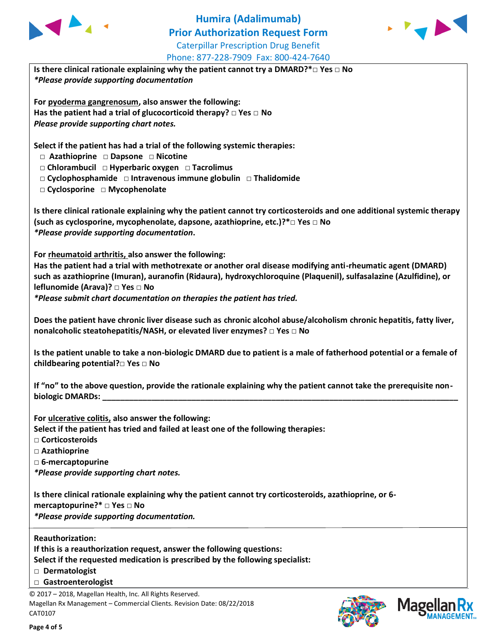

## **Humira (Adalimumab) Prior Authorization Request Form** Caterpillar Prescription Drug Benefit Phone: 877-228-7909 Fax: 800-424-7640



**Is there clinical rationale explaining why the patient cannot try a DMARD?\*□ Yes □ No** *\*Please provide supporting documentation*

**For pyoderma gangrenosum, also answer the following: Has the patient had a trial of glucocorticoid therapy? □ Yes □ No** *Please provide supporting chart notes.*

**Select if the patient has had a trial of the following systemic therapies:**

- **□ Azathioprine □ Dapsone □ Nicotine**
- **□ Chlorambucil □ Hyperbaric oxygen □ Tacrolimus**
- **□ Cyclophosphamide □ Intravenous immune globulin □ Thalidomide**
- **□ Cyclosporine □ Mycophenolate**

**Is there clinical rationale explaining why the patient cannot try corticosteroids and one additional systemic therapy (such as cyclosporine, mycophenolate, dapsone, azathioprine, etc.)?\*□ Yes □ No** *\*Please provide supporting documentation***.**

**For rheumatoid arthritis, also answer the following:**

**Has the patient had a trial with methotrexate or another oral disease modifying anti-rheumatic agent (DMARD) such as azathioprine (Imuran), auranofin (Ridaura), hydroxychloroquine (Plaquenil), sulfasalazine (Azulfidine), or leflunomide (Arava)? □ Yes □ No**

*\*Please submit chart documentation on therapies the patient has tried.*

| Does the patient have chronic liver disease such as chronic alcohol abuse/alcoholism chronic hepatitis, fatty liver, |  |
|----------------------------------------------------------------------------------------------------------------------|--|
| nonalcoholic steatohepatitis/NASH, or elevated liver enzymes? $\Box$ Yes $\Box$ No                                   |  |

**Is the patient unable to take a non-biologic DMARD due to patient is a male of fatherhood potential or a female of childbearing potential?□ Yes □ No**

**If "no" to the above question, provide the rationale explaining why the patient cannot take the prerequisite non**biologic DMARDs:

**For ulcerative colitis, also answer the following:**

**Select if the patient has tried and failed at least one of the following therapies:**

- **□ Corticosteroids**
- **□ Azathioprine**
- **□ 6-mercaptopurine**

*\*Please provide supporting chart notes.*

**Is there clinical rationale explaining why the patient cannot try corticosteroids, azathioprine, or 6-**

**mercaptopurine?\* □ Yes □ No**

*\*Please provide supporting documentation.*

**Reauthorization:**

**If this is a reauthorization request, answer the following questions:**

**Select if the requested medication is prescribed by the following specialist:**

- **□ Dermatologist**
- **□ Gastroenterologist**

© 2017 – 2018, Magellan Health, Inc. All Rights Reserved. Magellan Rx Management – Commercial Clients. Revision Date: 08/22/2018 CAT0107